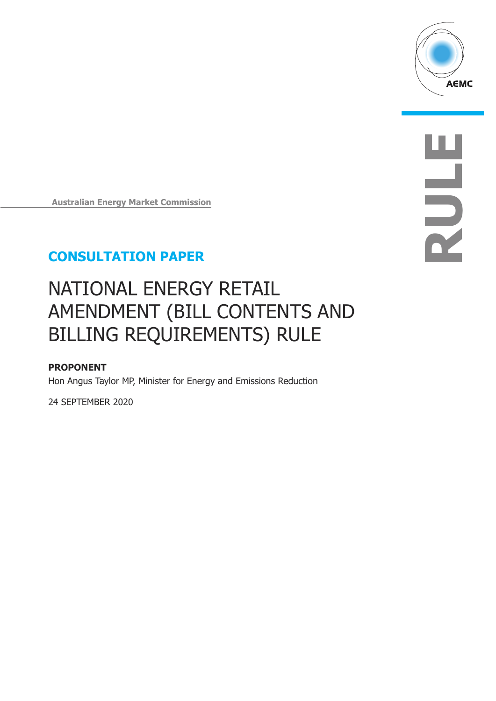

**RULE**

**Australian Energy Market Commission**

# **CONSULTATION PAPER**

# NATIONAL ENERGY RETAIL AMENDMENT (BILL CONTENTS AND BILLING REQUIREMENTS) RULE

# **PROPONENT**

Hon Angus Taylor MP, Minister for Energy and Emissions Reduction

24 SEPTEMBER 2020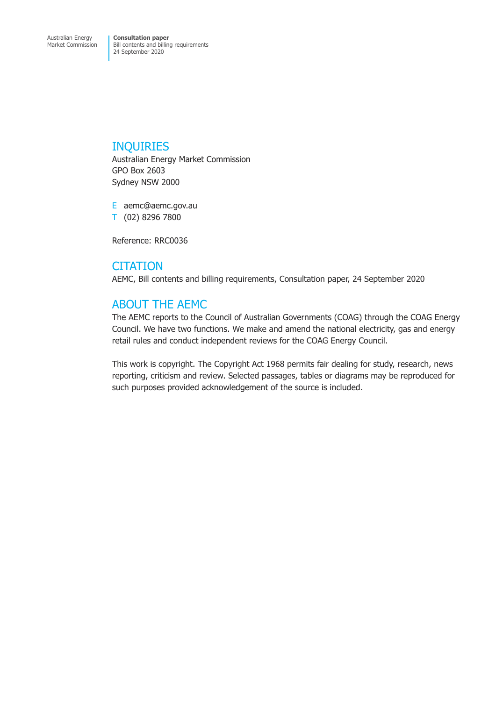# INQUIRIES

Australian Energy Market Commission GPO Box 2603 Sydney NSW 2000

E aemc@aemc.gov.au T (02) 8296 7800

Reference: RRC0036

# **CITATION**

AEMC, Bill contents and billing requirements, Consultation paper, 24 September 2020

# ABOUT THE AEMC

The AEMC reports to the Council of Australian Governments (COAG) through the COAG Energy Council. We have two functions. We make and amend the national electricity, gas and energy retail rules and conduct independent reviews for the COAG Energy Council.

This work is copyright. The Copyright Act 1968 permits fair dealing for study, research, news reporting, criticism and review. Selected passages, tables or diagrams may be reproduced for such purposes provided acknowledgement of the source is included.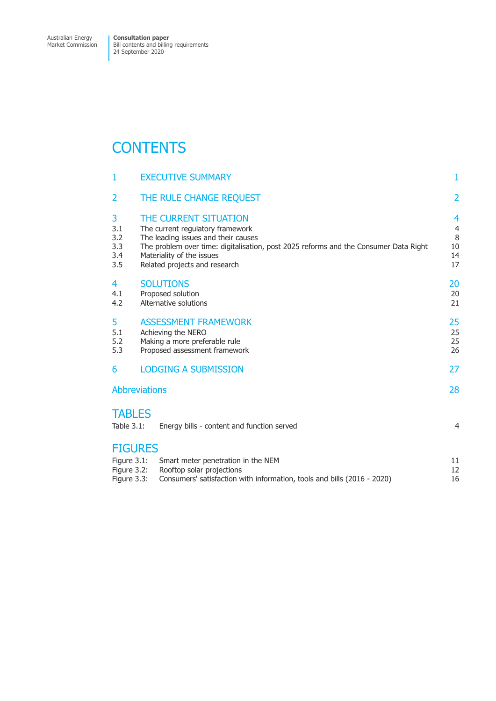# **CONTENTS**

|                            | 1                                                           | <b>EXECUTIVE SUMMARY</b>                                                                                                                                                                                                                               | 1                                          |  |
|----------------------------|-------------------------------------------------------------|--------------------------------------------------------------------------------------------------------------------------------------------------------------------------------------------------------------------------------------------------------|--------------------------------------------|--|
|                            | $\overline{2}$                                              | THE RULE CHANGE REQUEST                                                                                                                                                                                                                                | $\overline{2}$                             |  |
|                            | 3<br>3.1<br>3.2<br>3.3<br>3.4<br>3.5                        | THE CURRENT SITUATION<br>The current regulatory framework<br>The leading issues and their causes<br>The problem over time: digitalisation, post 2025 reforms and the Consumer Data Right<br>Materiality of the issues<br>Related projects and research | 4<br>$\overline{4}$<br>8<br>10<br>14<br>17 |  |
|                            | 4<br>4.1<br>4.2                                             | <b>SOLUTIONS</b><br>Proposed solution<br>Alternative solutions                                                                                                                                                                                         | 20<br>20<br>21                             |  |
|                            | 5<br>5.1<br>5.2<br>5.3                                      | <b>ASSESSMENT FRAMEWORK</b><br>Achieving the NERO<br>Making a more preferable rule<br>Proposed assessment framework                                                                                                                                    |                                            |  |
|                            | 6                                                           | <b>LODGING A SUBMISSION</b>                                                                                                                                                                                                                            | 27                                         |  |
| <b>Abbreviations</b><br>28 |                                                             |                                                                                                                                                                                                                                                        |                                            |  |
|                            | <b>TABLES</b><br>Table $3.1$ :                              | Energy bills - content and function served                                                                                                                                                                                                             | 4                                          |  |
|                            | <b>FIGURES</b><br>Figure 3.1:<br>Figure 3.2:<br>Figure 3.3: | Smart meter penetration in the NEM<br>Rooftop solar projections<br>Consumers' satisfaction with information, tools and bills (2016 - 2020)                                                                                                             | 11<br>12<br>16                             |  |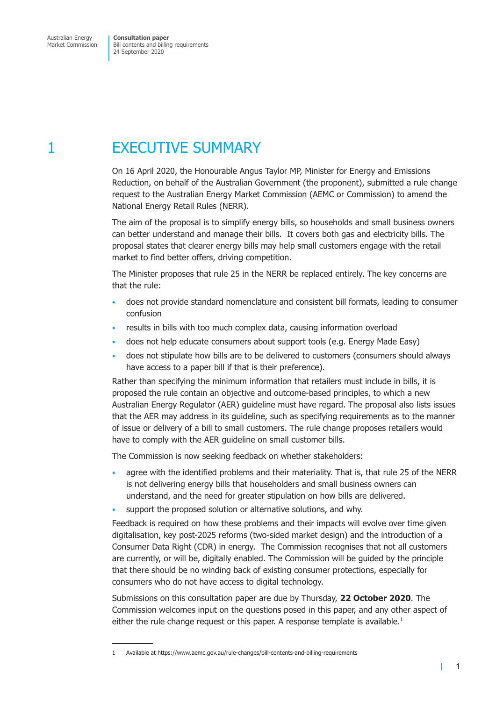# <span id="page-3-0"></span>1 EXECUTIVE SUMMARY

On 16 April 2020, the Honourable Angus Taylor MP, Minister for Energy and Emissions Reduction, on behalf of the Australian Government (the proponent), submitted a rule change request to the Australian Energy Market Commission (AEMC or Commission) to amend the National Energy Retail Rules (NERR).

The aim of the proposal is to simplify energy bills, so households and small business owners can better understand and manage their bills. It covers both gas and electricity bills. The proposal states that clearer energy bills may help small customers engage with the retail market to find better offers, driving competition.

The Minister proposes that rule 25 in the NERR be replaced entirely. The key concerns are that the rule:

- does not provide standard nomenclature and consistent bill formats, leading to consumer confusion
- results in bills with too much complex data, causing information overload
- does not help educate consumers about support tools (e.g. Energy Made Easy)
- does not stipulate how bills are to be delivered to customers (consumers should always have access to a paper bill if that is their preference).

Rather than specifying the minimum information that retailers must include in bills, it is proposed the rule contain an objective and outcome-based principles, to which a new Australian Energy Regulator (AER) guideline must have regard. The proposal also lists issues that the AER may address in its guideline, such as specifying requirements as to the manner of issue or delivery of a bill to small customers. The rule change proposes retailers would have to comply with the AER guideline on small customer bills.

The Commission is now seeking feedback on whether stakeholders:

- agree with the identified problems and their materiality. That is, that rule 25 of the NERR is not delivering energy bills that householders and small business owners can understand, and the need for greater stipulation on how bills are delivered.
- support the proposed solution or alternative solutions, and why.

Feedback is required on how these problems and their impacts will evolve over time given digitalisation, key post-2025 reforms (two-sided market design) and the introduction of a Consumer Data Right (CDR) in energy. The Commission recognises that not all customers are currently, or will be, digitally enabled. The Commission will be guided by the principle that there should be no winding back of existing consumer protections, especially for consumers who do not have access to digital technology.

Submissions on this consultation paper are due by Thursday, **22 October 2020**. The Commission welcomes input on the questions posed in this paper, and any other aspect of either the rule change request or this paper. A response template is available.<sup>1</sup>

т

<sup>1</sup> Available at https://www.aemc.gov.au/rule-changes/bill-contents-and-billing-requirements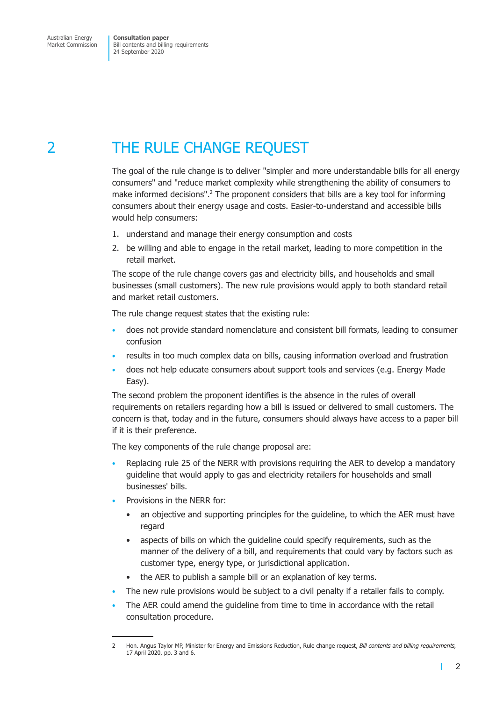# <span id="page-4-0"></span>2 THE RULE CHANGE REQUEST

The goal of the rule change is to deliver "simpler and more understandable bills for all energy consumers" and "reduce market complexity while strengthening the ability of consumers to make informed decisions".<sup>2</sup> The proponent considers that bills are a key tool for informing consumers about their energy usage and costs. Easier-to-understand and accessible bills would help consumers:

- 1. understand and manage their energy consumption and costs
- 2. be willing and able to engage in the retail market, leading to more competition in the retail market.

The scope of the rule change covers gas and electricity bills, and households and small businesses (small customers). The new rule provisions would apply to both standard retail and market retail customers.

The rule change request states that the existing rule:

- does not provide standard nomenclature and consistent bill formats, leading to consumer confusion
- results in too much complex data on bills, causing information overload and frustration
- does not help educate consumers about support tools and services (e.g. Energy Made Easy).

The second problem the proponent identifies is the absence in the rules of overall requirements on retailers regarding how a bill is issued or delivered to small customers. The concern is that, today and in the future, consumers should always have access to a paper bill if it is their preference.

The key components of the rule change proposal are:

- Replacing rule 25 of the NERR with provisions requiring the AER to develop a mandatory guideline that would apply to gas and electricity retailers for households and small businesses' bills.
- Provisions in the NERR for:
	- an objective and supporting principles for the guideline, to which the AER must have regard
	- aspects of bills on which the guideline could specify requirements, such as the manner of the delivery of a bill, and requirements that could vary by factors such as customer type, energy type, or jurisdictional application.
	- the AER to publish a sample bill or an explanation of key terms.
- The new rule provisions would be subject to a civil penalty if a retailer fails to comply.
- The AER could amend the guideline from time to time in accordance with the retail consultation procedure.

П

<sup>2</sup> Hon. Angus Taylor MP, Minister for Energy and Emissions Reduction, Rule change request, *Bill contents and billing requirements,* 17 April 2020, pp. 3 and 6.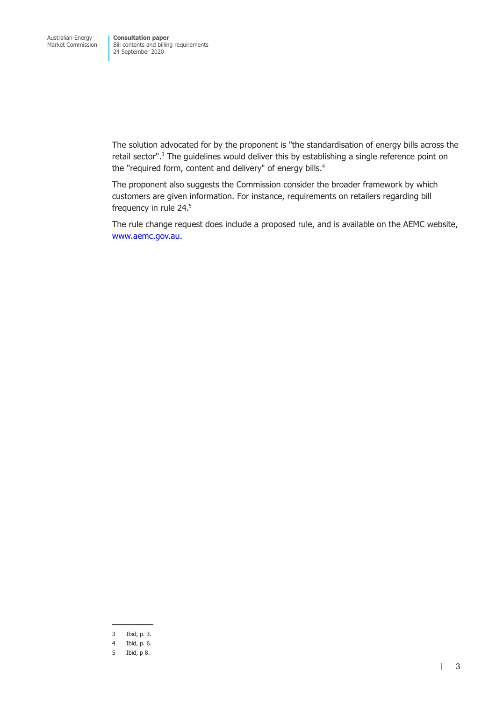The solution advocated for by the proponent is "the standardisation of energy bills across the retail sector".<sup>3</sup> The guidelines would deliver this by establishing a single reference point on the "required form, content and delivery" of energy bills.<sup>4</sup>

The proponent also suggests the Commission consider the broader framework by which customers are given information. For instance, requirements on retailers regarding bill frequency in rule 24.<sup>5</sup>

The rule change request does include a proposed rule, and is available on the AEMC website, [www.aemc.gov.au.](https://www.aemc.gov.au/rule-changes/bill-contents-and-billing-requirements)

Г

<sup>3</sup> Ibid, p. 3.

<sup>4</sup> Ibid, p. 6.

<sup>5</sup> Ibid, p 8.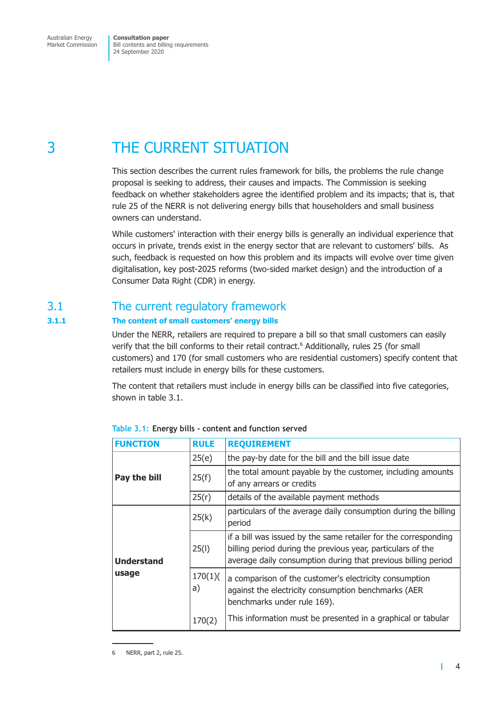<span id="page-6-0"></span>3 THE CURRENT SITUATION

This section describes the current rules framework for bills, the problems the rule change proposal is seeking to address, their causes and impacts. The Commission is seeking feedback on whether stakeholders agree the identified problem and its impacts; that is, that rule 25 of the NERR is not delivering energy bills that householders and small business owners can understand.

While customers' interaction with their energy bills is generally an individual experience that occurs in private, trends exist in the energy sector that are relevant to customers' bills. As such, feedback is requested on how this problem and its impacts will evolve over time given digitalisation, key post-2025 reforms (two-sided market design) and the introduction of a Consumer Data Right (CDR) in energy.

# 3.1 The current regulatory framework

## **3.1.1 The content of small customers' energy bills**

Under the NERR, retailers are required to prepare a bill so that small customers can easily verify that the bill conforms to their retail contract.<sup>6</sup> Additionally, rules 25 (for small customers) and 170 (for small customers who are residential customers) specify content that retailers must include in energy bills for these customers.

The content that retailers must include in energy bills can be classified into five categories, shown in table 3.1.

| <b>FUNCTION</b>   | <b>RULE</b>   | <b>REQUIREMENT</b>                                                                                                                                                                              |
|-------------------|---------------|-------------------------------------------------------------------------------------------------------------------------------------------------------------------------------------------------|
|                   | 25(e)         | the pay-by date for the bill and the bill issue date                                                                                                                                            |
| Pay the bill      | 25(f)         | the total amount payable by the customer, including amounts<br>of any arrears or credits                                                                                                        |
|                   | 25(r)         | details of the available payment methods                                                                                                                                                        |
|                   | 25(k)         | particulars of the average daily consumption during the billing<br>period                                                                                                                       |
| <b>Understand</b> | 25(1)         | if a bill was issued by the same retailer for the corresponding<br>billing period during the previous year, particulars of the<br>average daily consumption during that previous billing period |
| usage             | 170(1)(<br>a) | a comparison of the customer's electricity consumption<br>against the electricity consumption benchmarks (AER<br>benchmarks under rule 169).                                                    |
|                   | 170(2)        | This information must be presented in a graphical or tabular                                                                                                                                    |

**Table 3.1: Energy bills - content and function served**

<span id="page-6-1"></span> $\mathbf{I}$ 

<sup>6</sup> NERR, part 2, rule 25.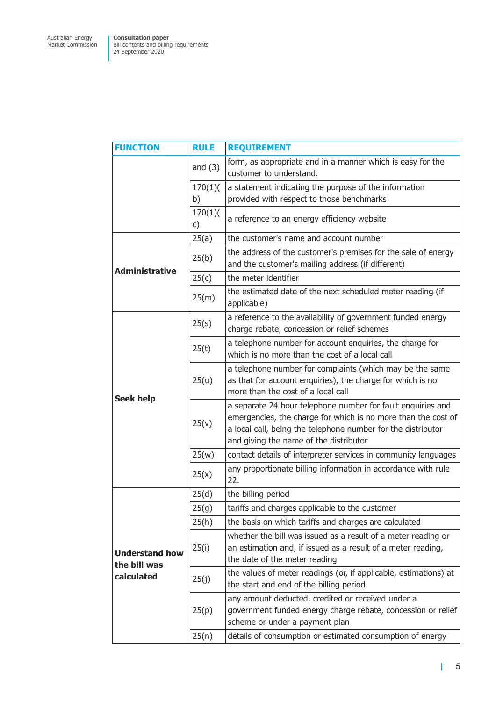| <b>FUNCTION</b>                       | <b>RULE</b>   | <b>REQUIREMENT</b>                                                                                                                                                                                                                     |
|---------------------------------------|---------------|----------------------------------------------------------------------------------------------------------------------------------------------------------------------------------------------------------------------------------------|
|                                       | and $(3)$     | form, as appropriate and in a manner which is easy for the<br>customer to understand.                                                                                                                                                  |
|                                       | 170(1)(<br>b) | a statement indicating the purpose of the information<br>provided with respect to those benchmarks                                                                                                                                     |
|                                       | 170(1)(<br>c) | a reference to an energy efficiency website                                                                                                                                                                                            |
| <b>Administrative</b>                 | 25(a)         | the customer's name and account number                                                                                                                                                                                                 |
|                                       | 25(b)         | the address of the customer's premises for the sale of energy<br>and the customer's mailing address (if different)                                                                                                                     |
|                                       | 25(c)         | the meter identifier                                                                                                                                                                                                                   |
|                                       | 25(m)         | the estimated date of the next scheduled meter reading (if<br>applicable)                                                                                                                                                              |
|                                       | 25(s)         | a reference to the availability of government funded energy<br>charge rebate, concession or relief schemes                                                                                                                             |
|                                       | 25(t)         | a telephone number for account enquiries, the charge for<br>which is no more than the cost of a local call                                                                                                                             |
| <b>Seek help</b>                      | 25(u)         | a telephone number for complaints (which may be the same<br>as that for account enquiries), the charge for which is no<br>more than the cost of a local call                                                                           |
|                                       | 25(v)         | a separate 24 hour telephone number for fault enquiries and<br>emergencies, the charge for which is no more than the cost of<br>a local call, being the telephone number for the distributor<br>and giving the name of the distributor |
|                                       | 25(w)         | contact details of interpreter services in community languages                                                                                                                                                                         |
|                                       | 25(x)         | any proportionate billing information in accordance with rule<br>22.                                                                                                                                                                   |
|                                       | 25(d)         | the billing period                                                                                                                                                                                                                     |
|                                       | 25(g)         | tariffs and charges applicable to the customer                                                                                                                                                                                         |
|                                       | 25(h)         | the basis on which tariffs and charges are calculated                                                                                                                                                                                  |
| <b>Understand how</b><br>the bill was | 25(i)         | whether the bill was issued as a result of a meter reading or<br>an estimation and, if issued as a result of a meter reading,<br>the date of the meter reading                                                                         |
| calculated                            | 25(j)         | the values of meter readings (or, if applicable, estimations) at<br>the start and end of the billing period                                                                                                                            |
|                                       | 25(p)         | any amount deducted, credited or received under a<br>government funded energy charge rebate, concession or relief<br>scheme or under a payment plan                                                                                    |
|                                       | 25(n)         | details of consumption or estimated consumption of energy                                                                                                                                                                              |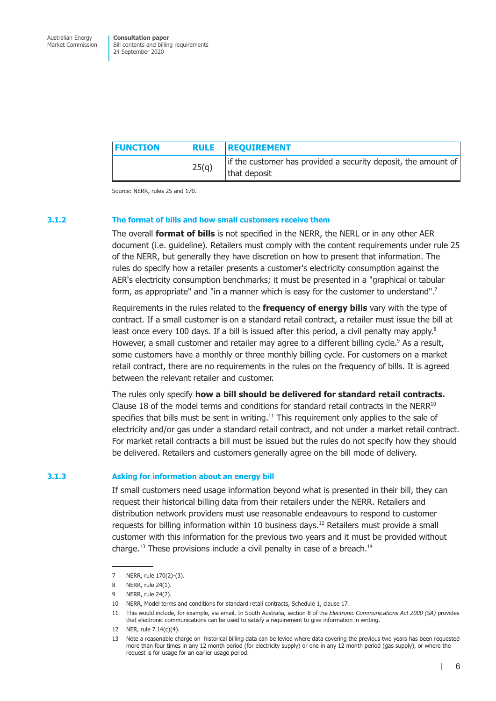| <b>FUNCTION</b> |       | <b>RULE REQUIREMENT</b>                                                        |
|-----------------|-------|--------------------------------------------------------------------------------|
|                 | 25(q) | if the customer has provided a security deposit, the amount of<br>that deposit |

Source: NERR, rules 25 and 170.

#### **3.1.2 The format of bills and how small customers receive them**

The overall **format of bills** is not specified in the NERR, the NERL or in any other AER document (i.e. guideline). Retailers must comply with the content requirements under rule 25 of the NERR, but generally they have discretion on how to present that information. The rules do specify how a retailer presents a customer's electricity consumption against the AER's electricity consumption benchmarks; it must be presented in a "graphical or tabular form, as appropriate" and "in a manner which is easy for the customer to understand".<sup>7</sup>

Requirements in the rules related to the **frequency of energy bills** vary with the type of contract. If a small customer is on a standard retail contract, a retailer must issue the bill at least once every 100 days. If a bill is issued after this period, a civil penalty may apply.<sup>8</sup> However, a small customer and retailer may agree to a different billing cycle.<sup>9</sup> As a result, some customers have a monthly or three monthly billing cycle. For customers on a market retail contract, there are no requirements in the rules on the frequency of bills. It is agreed between the relevant retailer and customer.

The rules only specify **how a bill should be delivered for standard retail contracts.** Clause 18 of the model terms and conditions for standard retail contracts in the NER $R^{10}$ specifies that bills must be sent in writing.<sup>11</sup> This requirement only applies to the sale of electricity and/or gas under a standard retail contract, and not under a market retail contract. For market retail contracts a bill must be issued but the rules do not specify how they should be delivered. Retailers and customers generally agree on the bill mode of delivery.

#### **3.1.3 Asking for information about an energy bill**

If small customers need usage information beyond what is presented in their bill, they can request their historical billing data from their retailers under the NERR. Retailers and distribution network providers must use reasonable endeavours to respond to customer requests for billing information within 10 business days.<sup>12</sup> Retailers must provide a small customer with this information for the previous two years and it must be provided without charge.<sup>13</sup> These provisions include a civil penalty in case of a breach.<sup>14</sup>

L

<sup>7</sup> NERR, rule 170(2)-(3).

<sup>8</sup> NERR, rule 24(1).

<sup>9</sup> NERR, rule 24(2).

<sup>10</sup> NERR, Model terms and conditions for standard retail contracts, Schedule 1, clause 17.

<sup>11</sup> This would include, for example, via email. In South Australia, section 8 of the *Electronic Communications Act 2000 (SA)* provides that electronic communications can be used to satisfy a requirement to give information in writing.

<sup>12</sup> NER, rule 7.14(c)(4).

<sup>13</sup> Note a reasonable charge on historical billing data can be levied where data covering the previous two years has been requested more than four times in any 12 month period (for electricity supply) or one in any 12 month period (gas supply), or where the request is for usage for an earlier usage period.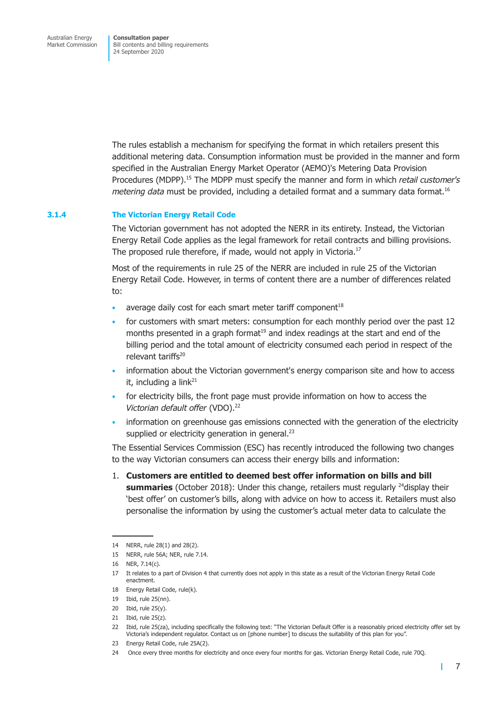The rules establish a mechanism for specifying the format in which retailers present this additional metering data. Consumption information must be provided in the manner and form specified in the Australian Energy Market Operator (AEMO)'s Metering Data Provision Procedures (MDPP).15 The MDPP must specify the manner and form in which *retail customer's metering data* must be provided, including a detailed format and a summary data format.<sup>16</sup>

### **3.1.4 The Victorian Energy Retail Code**

The Victorian government has not adopted the NERR in its entirety. Instead, the Victorian Energy Retail Code applies as the legal framework for retail contracts and billing provisions. The proposed rule therefore, if made, would not apply in Victoria.<sup>17</sup>

Most of the requirements in rule 25 of the NERR are included in rule 25 of the Victorian Energy Retail Code. However, in terms of content there are a number of differences related to:

- average daily cost for each smart meter tariff component $18$
- for customers with smart meters: consumption for each monthly period over the past 12 months presented in a graph format $19$  and index readings at the start and end of the billing period and the total amount of electricity consumed each period in respect of the relevant tariffs<sup>20</sup>
- information about the Victorian government's energy comparison site and how to access it, including a link $^{21}$
- for electricity bills, the front page must provide information on how to access the *Victorian default offer* (VDO).22
- information on greenhouse gas emissions connected with the generation of the electricity supplied or electricity generation in general.<sup>23</sup>

The Essential Services Commission (ESC) has recently introduced the following two changes to the way Victorian consumers can access their energy bills and information:

1. **Customers are entitled to deemed best offer information on bills and bill summaries** (October 2018): Under this change, retailers must regularly <sup>24</sup>display their 'best offer' on customer's bills, along with advice on how to access it. Retailers must also personalise the information by using the customer's actual meter data to calculate the

т

<sup>14</sup> NERR, rule 28(1) and 28(2).

<sup>15</sup> NERR, rule 56A; NER, rule 7.14.

<sup>16</sup> NER, 7.14(c).

<sup>17</sup> It relates to a part of Division 4 that currently does not apply in this state as a result of the Victorian Energy Retail Code enactment.

<sup>18</sup> Energy Retail Code, rule(k).

<sup>19</sup> Ibid, rule 25(nn).

 $20$  Ibid, rule  $25(y)$ .

<sup>21</sup> Ibid, rule 25(z).

<sup>22</sup> Ibid, rule 25(za), including specifically the following text: "The Victorian Default Offer is a reasonably priced electricity offer set by Victoria's independent regulator. Contact us on [phone number] to discuss the suitability of this plan for you".

<sup>23</sup> Energy Retail Code, rule 25A(2).

<sup>24</sup> Once every three months for electricity and once every four months for gas. Victorian Energy Retail Code, rule 70Q.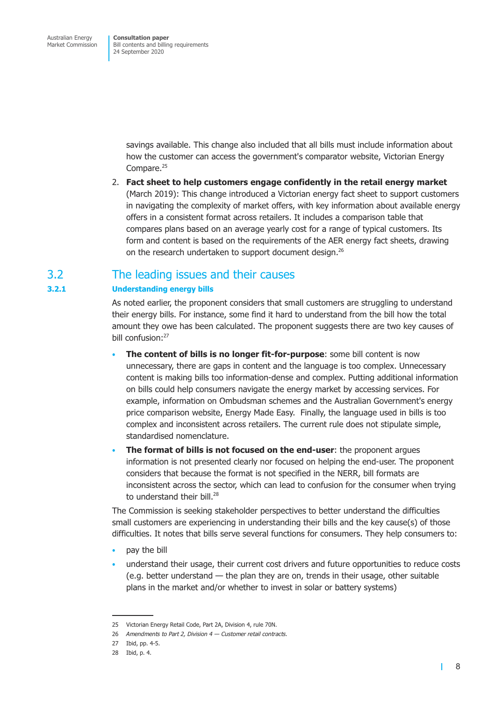> <span id="page-10-0"></span>savings available. This change also included that all bills must include information about how the customer can access the government's comparator website, Victorian Energy Compare.<sup>25</sup>

2. **Fact sheet to help customers engage confidently in the retail energy market** (March 2019): This change introduced a Victorian energy fact sheet to support customers in navigating the complexity of market offers, with key information about available energy offers in a consistent format across retailers. It includes a comparison table that compares plans based on an average yearly cost for a range of typical customers. Its form and content is based on the requirements of the AER energy fact sheets, drawing on the research undertaken to support document design.<sup>26</sup>

# 3.2 The leading issues and their causes

## **3.2.1 Understanding energy bills**

As noted earlier, the proponent considers that small customers are struggling to understand their energy bills. For instance, some find it hard to understand from the bill how the total amount they owe has been calculated. The proponent suggests there are two key causes of bill confusion:27

- **The content of bills is no longer fit-for-purpose**: some bill content is now unnecessary, there are gaps in content and the language is too complex. Unnecessary content is making bills too information-dense and complex. Putting additional information on bills could help consumers navigate the energy market by accessing services. For example, information on Ombudsman schemes and the Australian Government's energy price comparison website, Energy Made Easy. Finally, the language used in bills is too complex and inconsistent across retailers. The current rule does not stipulate simple, standardised nomenclature.
- **The format of bills is not focused on the end-user**: the proponent argues information is not presented clearly nor focused on helping the end-user. The proponent considers that because the format is not specified in the NERR, bill formats are inconsistent across the sector, which can lead to confusion for the consumer when trying to understand their bill.<sup>28</sup>

The Commission is seeking stakeholder perspectives to better understand the difficulties small customers are experiencing in understanding their bills and the key cause(s) of those difficulties. It notes that bills serve several functions for consumers. They help consumers to:

- pay the bill
- understand their usage, their current cost drivers and future opportunities to reduce costs (e.g. better understand — the plan they are on, trends in their usage, other suitable plans in the market and/or whether to invest in solar or battery systems)

<sup>25</sup> Victorian Energy Retail Code, Part 2A, Division 4, rule 70N.

<sup>26</sup> *Amendments to Part 2, Division 4 — Customer retail contracts.*

<sup>27</sup> Ibid, pp. 4-5.

<sup>28</sup> Ibid, p. 4.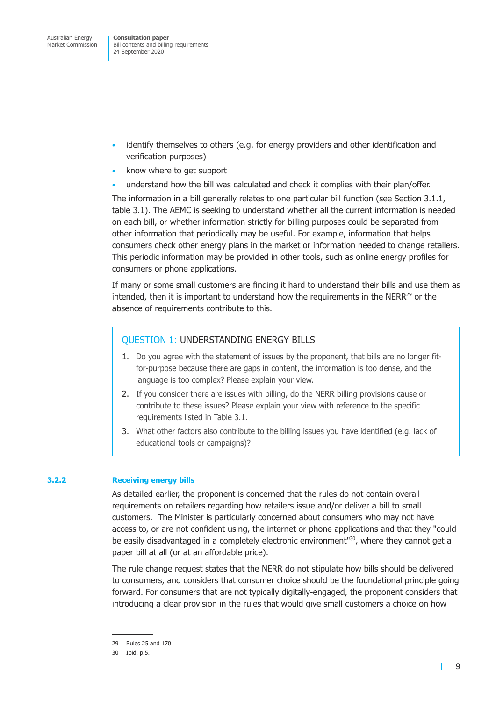- identify themselves to others (e.g. for energy providers and other identification and verification purposes)
- know where to get support
- understand how the bill was calculated and check it complies with their plan/offer.

The information in a bill generally relates to one particular bill function (see Section 3.1.1, table 3.1). The AEMC is seeking to understand whether all the current information is needed on each bill, or whether information strictly for billing purposes could be separated from other information that periodically may be useful. For example, information that helps consumers check other energy plans in the market or information needed to change retailers. This periodic information may be provided in other tools, such as online energy profiles for consumers or phone applications.

If many or some small customers are finding it hard to understand their bills and use them as intended, then it is important to understand how the requirements in the  $NERR^{29}$  or the absence of requirements contribute to this.

## QUESTION 1: UNDERSTANDING ENERGY BILLS

- 1. Do you agree with the statement of issues by the proponent, that bills are no longer fitfor-purpose because there are gaps in content, the information is too dense, and the language is too complex? Please explain your view.
- 2. If you consider there are issues with billing, do the NERR billing provisions cause or contribute to these issues? Please explain your view with reference to the specific requirements listed in [Table 3.1.](#page-6-1)
- 3. What other factors also contribute to the billing issues you have identified (e.g. lack of educational tools or campaigns)?

### **3.2.2 Receiving energy bills**

As detailed earlier, the proponent is concerned that the rules do not contain overall requirements on retailers regarding how retailers issue and/or deliver a bill to small customers. The Minister is particularly concerned about consumers who may not have access to, or are not confident using, the internet or phone applications and that they "could be easily disadvantaged in a completely electronic environment<sup> $130$ </sup>, where they cannot get a paper bill at all (or at an affordable price).

The rule change request states that the NERR do not stipulate how bills should be delivered to consumers, and considers that consumer choice should be the foundational principle going forward. For consumers that are not typically digitally-engaged, the proponent considers that introducing a clear provision in the rules that would give small customers a choice on how

П

<sup>29</sup> Rules 25 and 170

<sup>30</sup> Ibid, p.5.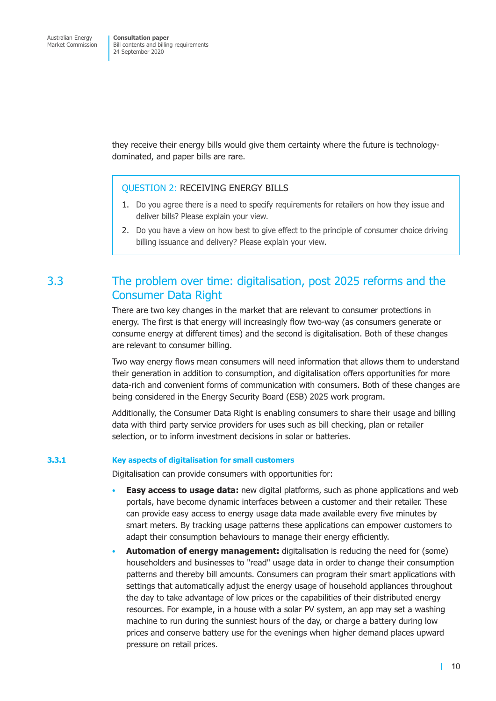<span id="page-12-0"></span>they receive their energy bills would give them certainty where the future is technologydominated, and paper bills are rare.

## QUESTION 2: RECEIVING ENERGY BILLS

- 1. Do you agree there is a need to specify requirements for retailers on how they issue and deliver bills? Please explain your view.
- 2. Do you have a view on how best to give effect to the principle of consumer choice driving billing issuance and delivery? Please explain your view.

# 3.3 The problem over time: digitalisation, post 2025 reforms and the Consumer Data Right

There are two key changes in the market that are relevant to consumer protections in energy. The first is that energy will increasingly flow two-way (as consumers generate or consume energy at different times) and the second is digitalisation. Both of these changes are relevant to consumer billing.

Two way energy flows mean consumers will need information that allows them to understand their generation in addition to consumption, and digitalisation offers opportunities for more data-rich and convenient forms of communication with consumers. Both of these changes are being considered in the Energy Security Board (ESB) 2025 work program.

Additionally, the Consumer Data Right is enabling consumers to share their usage and billing data with third party service providers for uses such as bill checking, plan or retailer selection, or to inform investment decisions in solar or batteries.

#### **3.3.1 Key aspects of digitalisation for small customers**

Digitalisation can provide consumers with opportunities for:

- **Easy access to usage data:** new digital platforms, such as phone applications and web portals, have become dynamic interfaces between a customer and their retailer. These can provide easy access to energy usage data made available every five minutes by smart meters. By tracking usage patterns these applications can empower customers to adapt their consumption behaviours to manage their energy efficiently.
- **Automation of energy management:** digitalisation is reducing the need for (some) householders and businesses to "read" usage data in order to change their consumption patterns and thereby bill amounts. Consumers can program their smart applications with settings that automatically adjust the energy usage of household appliances throughout the day to take advantage of low prices or the capabilities of their distributed energy resources. For example, in a house with a solar PV system, an app may set a washing machine to run during the sunniest hours of the day, or charge a battery during low prices and conserve battery use for the evenings when higher demand places upward pressure on retail prices.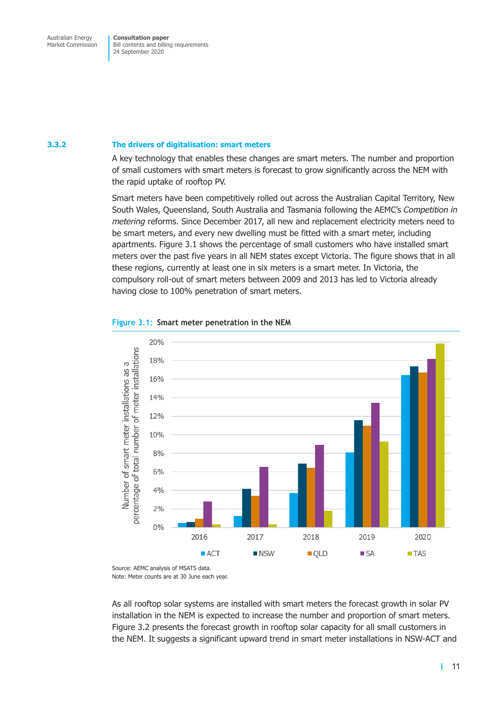#### <span id="page-13-0"></span>**3.3.2 The drivers of digitalisation: smart meters**

A key technology that enables these changes are smart meters. The number and proportion of small customers with smart meters is forecast to grow significantly across the NEM with the rapid uptake of rooftop PV.

Smart meters have been competitively rolled out across the Australian Capital Territory, New South Wales, Queensland, South Australia and Tasmania following the AEMC's *Competition in metering* reforms. Since December 2017, all new and replacement electricity meters need to be smart meters, and every new dwelling must be fitted with a smart meter, including apartments. [Figure 3.1](#page-13-1) shows the percentage of small customers who have installed smart meters over the past five years in all NEM states except Victoria. The figure shows that in all these regions, currently at least one in six meters is a smart meter. In Victoria, the compulsory roll-out of smart meters between 2009 and 2013 has led to Victoria already having close to 100% penetration of smart meters.

<span id="page-13-1"></span>



As all rooftop solar systems are installed with smart meters the forecast growth in solar PV installation in the NEM is expected to increase the number and proportion of smart meters. [Figure 3.2](#page-14-1) presents the forecast growth in rooftop solar capacity for all small customers in the NEM. It suggests a significant upward trend in smart meter installations in NSW-ACT and

Source: AEMC analysis of MSATS data. Note: Meter counts are at 30 June each year.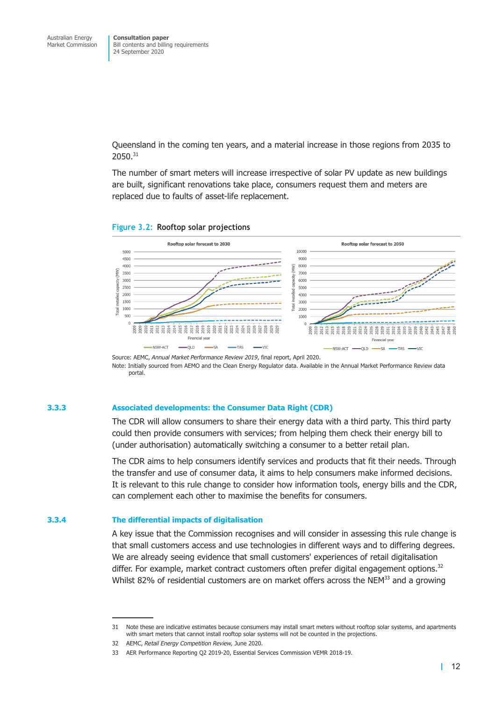<span id="page-14-0"></span>Queensland in the coming ten years, and a material increase in those regions from 2035 to 2050.31

<span id="page-14-1"></span>The number of smart meters will increase irrespective of solar PV update as new buildings are built, significant renovations take place, consumers request them and meters are replaced due to faults of asset-life replacement.





Source: AEMC, *Annual Market Performance Review 2019*, final report, April 2020. Note: Initially sourced from AEMO and the Clean Energy Regulator data. Available in the Annual Market Performance Review data portal.

### **3.3.3 Associated developments: the Consumer Data Right (CDR)**

The CDR will allow consumers to share their energy data with a third party. This third party could then provide consumers with services; from helping them check their energy bill to (under authorisation) automatically switching a consumer to a better retail plan.

The CDR aims to help consumers identify services and products that fit their needs. Through the transfer and use of consumer data, it aims to help consumers make informed decisions. It is relevant to this rule change to consider how information tools, energy bills and the CDR, can complement each other to maximise the benefits for consumers.

#### **3.3.4 The differential impacts of digitalisation**

A key issue that the Commission recognises and will consider in assessing this rule change is that small customers access and use technologies in different ways and to differing degrees. We are already seeing evidence that small customers' experiences of retail digitalisation differ. For example, market contract customers often prefer digital engagement options.<sup>32</sup> Whilst 82% of residential customers are on market offers across the  $N_{\text{EM}}^{33}$  and a growing

<sup>31</sup> Note these are indicative estimates because consumers may install smart meters without rooftop solar systems, and apartments with smart meters that cannot install rooftop solar systems will not be counted in the projections.

<sup>32</sup> AEMC, *Retail Energy Competition Review,* June 2020.

<sup>33</sup> AER Performance Reporting Q2 2019-20, Essential Services Commission VEMR 2018-19.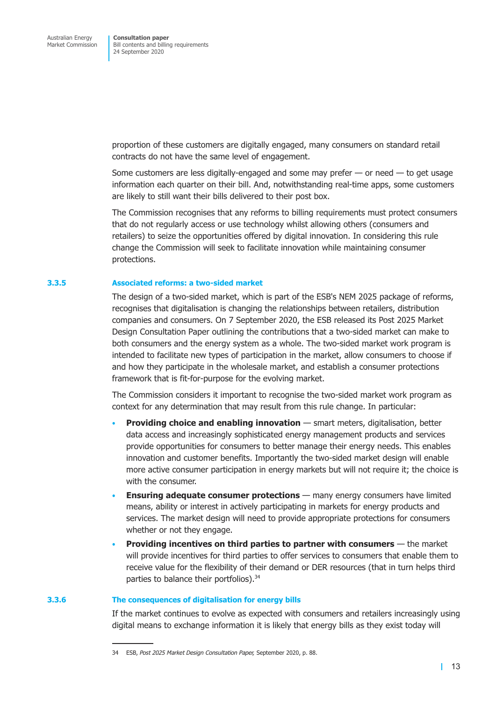proportion of these customers are digitally engaged, many consumers on standard retail contracts do not have the same level of engagement.

Some customers are less digitally-engaged and some may prefer — or need — to get usage information each quarter on their bill. And, notwithstanding real-time apps, some customers are likely to still want their bills delivered to their post box.

The Commission recognises that any reforms to billing requirements must protect consumers that do not regularly access or use technology whilst allowing others (consumers and retailers) to seize the opportunities offered by digital innovation. In considering this rule change the Commission will seek to facilitate innovation while maintaining consumer protections.

### **3.3.5 Associated reforms: a two-sided market**

The design of a two-sided market, which is part of the ESB's NEM 2025 package of reforms, recognises that digitalisation is changing the relationships between retailers, distribution companies and consumers. On 7 September 2020, the ESB released its Post 2025 Market Design Consultation Paper outlining the contributions that a two-sided market can make to both consumers and the energy system as a whole. The two-sided market work program is intended to facilitate new types of participation in the market, allow consumers to choose if and how they participate in the wholesale market, and establish a consumer protections framework that is fit-for-purpose for the evolving market.

The Commission considers it important to recognise the two-sided market work program as context for any determination that may result from this rule change. In particular:

- **Providing choice and enabling innovation** smart meters, digitalisation, better data access and increasingly sophisticated energy management products and services provide opportunities for consumers to better manage their energy needs. This enables innovation and customer benefits. Importantly the two-sided market design will enable more active consumer participation in energy markets but will not require it; the choice is with the consumer.
- **Ensuring adequate consumer protections** many energy consumers have limited means, ability or interest in actively participating in markets for energy products and services. The market design will need to provide appropriate protections for consumers whether or not they engage.
- **Providing incentives on third parties to partner with consumers** the market will provide incentives for third parties to offer services to consumers that enable them to receive value for the flexibility of their demand or DER resources (that in turn helps third parties to balance their portfolios).<sup>34</sup>

#### **3.3.6 The consequences of digitalisation for energy bills**

If the market continues to evolve as expected with consumers and retailers increasingly using digital means to exchange information it is likely that energy bills as they exist today will

<sup>34</sup> ESB, *Post 2025 Market Design Consultation Paper,* September 2020, p. 88.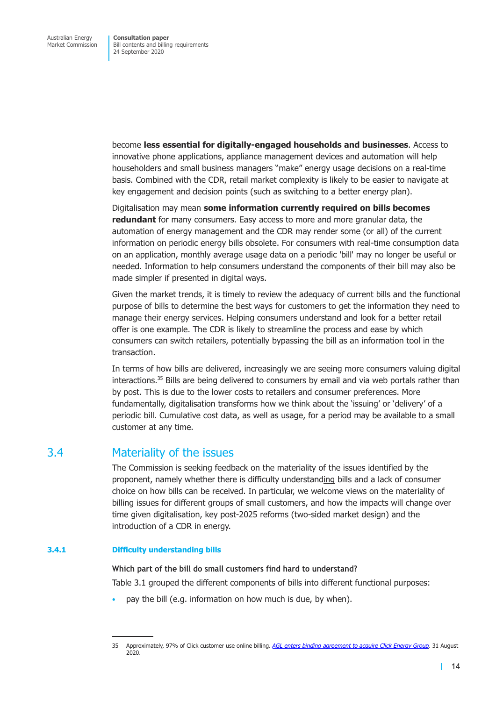<span id="page-16-0"></span>become **less essential for digitally-engaged households and businesses**. Access to innovative phone applications, appliance management devices and automation will help householders and small business managers "make" energy usage decisions on a real-time basis. Combined with the CDR, retail market complexity is likely to be easier to navigate at key engagement and decision points (such as switching to a better energy plan).

Digitalisation may mean **some information currently required on bills becomes redundant** for many consumers. Easy access to more and more granular data, the automation of energy management and the CDR may render some (or all) of the current information on periodic energy bills obsolete. For consumers with real-time consumption data on an application, monthly average usage data on a periodic 'bill' may no longer be useful or needed. Information to help consumers understand the components of their bill may also be made simpler if presented in digital ways.

Given the market trends, it is timely to review the adequacy of current bills and the functional purpose of bills to determine the best ways for customers to get the information they need to manage their energy services. Helping consumers understand and look for a better retail offer is one example. The CDR is likely to streamline the process and ease by which consumers can switch retailers, potentially bypassing the bill as an information tool in the transaction.

In terms of how bills are delivered, increasingly we are seeing more consumers valuing digital interactions. $35$  Bills are being delivered to consumers by email and via web portals rather than by post. This is due to the lower costs to retailers and consumer preferences. More fundamentally, digitalisation transforms how we think about the 'issuing' or 'delivery' of a periodic bill. Cumulative cost data, as well as usage, for a period may be available to a small customer at any time.

# 3.4 Materiality of the issues

The Commission is seeking feedback on the materiality of the issues identified by the proponent, namely whether there is difficulty understanding bills and a lack of consumer choice on how bills can be received. In particular, we welcome views on the materiality of billing issues for different groups of small customers, and how the impacts will change over time given digitalisation, key post-2025 reforms (two-sided market design) and the introduction of a CDR in energy.

## **3.4.1 Difficulty understanding bills**

**Which part of the bill do small customers find hard to understand?** Table 3.1 grouped the different components of bills into different functional purposes:

pay the bill (e.g. information on how much is due, by when).

<sup>35</sup> Approximately, 97% of Click customer use online billing. *[AGL enters binding agreement to acquire Click Energy Group,](https://www.agl.com.au/about-agl/media-centre/asx-and-media-releases/2020/august/agl-enters-binding-agreement-to-acquire-click-energy-group)* 31 August 2020.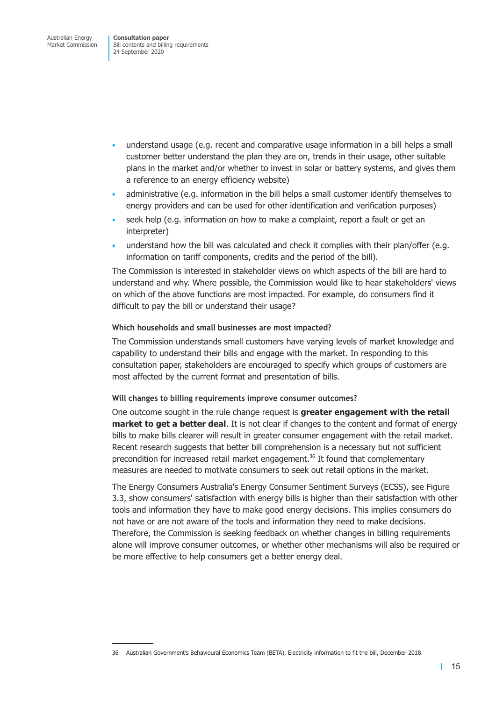- understand usage (e.g. recent and comparative usage information in a bill helps a small customer better understand the plan they are on, trends in their usage, other suitable plans in the market and/or whether to invest in solar or battery systems, and gives them a reference to an energy efficiency website)
- administrative (e.g. information in the bill helps a small customer identify themselves to energy providers and can be used for other identification and verification purposes)
- seek help (e.g. information on how to make a complaint, report a fault or get an interpreter)
- understand how the bill was calculated and check it complies with their plan/offer (e.g. information on tariff components, credits and the period of the bill).

The Commission is interested in stakeholder views on which aspects of the bill are hard to understand and why. Where possible, the Commission would like to hear stakeholders' views on which of the above functions are most impacted. For example, do consumers find it difficult to pay the bill or understand their usage?

### **Which households and small businesses are most impacted?**

The Commission understands small customers have varying levels of market knowledge and capability to understand their bills and engage with the market. In responding to this consultation paper, stakeholders are encouraged to specify which groups of customers are most affected by the current format and presentation of bills.

#### **Will changes to billing requirements improve consumer outcomes?**

One outcome sought in the rule change request is **greater engagement with the retail market to get a better deal**. It is not clear if changes to the content and format of energy bills to make bills clearer will result in greater consumer engagement with the retail market. Recent research suggests that better bill comprehension is a necessary but not sufficient precondition for increased retail market engagement.<sup>36</sup> It found that complementary measures are needed to motivate consumers to seek out retail options in the market.

The Energy Consumers Australia's Energy Consumer Sentiment Surveys (ECSS), see [Figure](#page-18-1) [3.3,](#page-18-1) show consumers' satisfaction with energy bills is higher than their satisfaction with other tools and information they have to make good energy decisions. This implies consumers do not have or are not aware of the tools and information they need to make decisions. Therefore, the Commission is seeking feedback on whether changes in billing requirements alone will improve consumer outcomes, or whether other mechanisms will also be required or be more effective to help consumers get a better energy deal.

<sup>36</sup> Australian Government's Behavioural Economics Team (BETA), Electricity information to fit the bill, December 2018.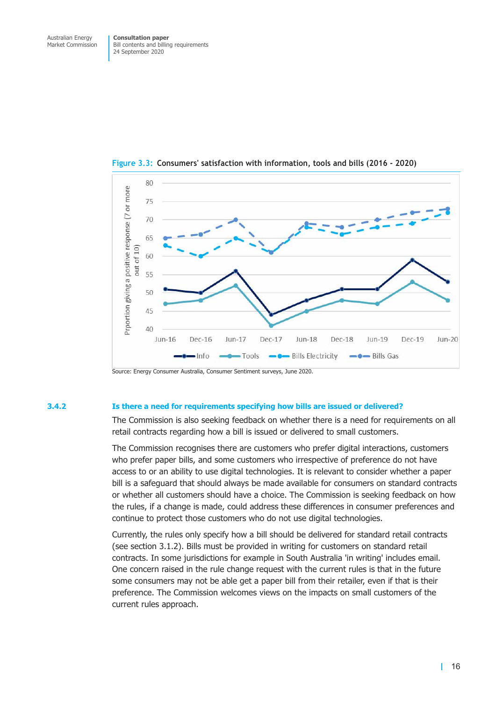<span id="page-18-1"></span>

<span id="page-18-0"></span>**Figure 3.3: Consumers' satisfaction with information, tools and bills (2016 - 2020)**

#### **3.4.2 Is there a need for requirements specifying how bills are issued or delivered?**

The Commission is also seeking feedback on whether there is a need for requirements on all retail contracts regarding how a bill is issued or delivered to small customers.

The Commission recognises there are customers who prefer digital interactions, customers who prefer paper bills, and some customers who irrespective of preference do not have access to or an ability to use digital technologies. It is relevant to consider whether a paper bill is a safeguard that should always be made available for consumers on standard contracts or whether all customers should have a choice. The Commission is seeking feedback on how the rules, if a change is made, could address these differences in consumer preferences and continue to protect those customers who do not use digital technologies.

Currently, the rules only specify how a bill should be delivered for standard retail contracts (see section 3.1.2). Bills must be provided in writing for customers on standard retail contracts. In some jurisdictions for example in South Australia 'in writing' includes email. One concern raised in the rule change request with the current rules is that in the future some consumers may not be able get a paper bill from their retailer, even if that is their preference. The Commission welcomes views on the impacts on small customers of the current rules approach.

Source: Energy Consumer Australia, Consumer Sentiment surveys, June 2020.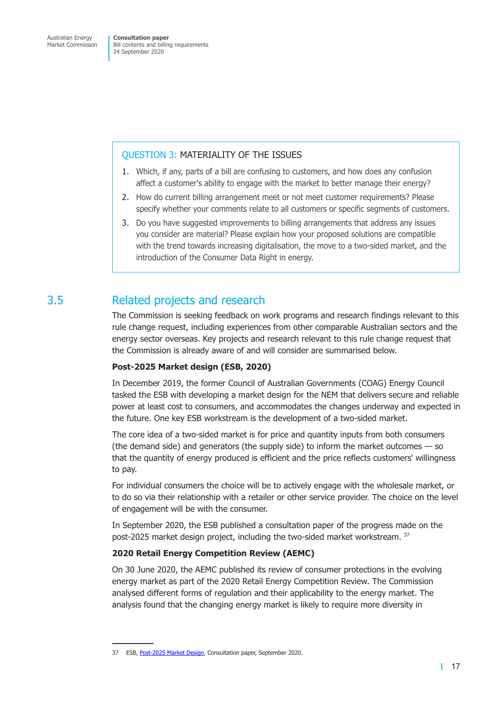## <span id="page-19-0"></span>QUESTION 3: MATERIALITY OF THE ISSUES

- 1. Which, if any, parts of a bill are confusing to customers, and how does any confusion affect a customer's ability to engage with the market to better manage their energy?
- 2. How do current billing arrangement meet or not meet customer requirements? Please specify whether your comments relate to all customers or specific segments of customers.
- 3. Do you have suggested improvements to billing arrangements that address any issues you consider are material? Please explain how your proposed solutions are compatible with the trend towards increasing digitalisation, the move to a two-sided market, and the introduction of the Consumer Data Right in energy.

# 3.5 Related projects and research

The Commission is seeking feedback on work programs and research findings relevant to this rule change request, including experiences from other comparable Australian sectors and the energy sector overseas. Key projects and research relevant to this rule change request that the Commission is already aware of and will consider are summarised below.

## **Post-2025 Market design (ESB, 2020)**

In December 2019, the former Council of Australian Governments (COAG) Energy Council tasked the ESB with developing a market design for the NEM that delivers secure and reliable power at least cost to consumers, and accommodates the changes underway and expected in the future. One key ESB workstream is the development of a two-sided market.

The core idea of a two-sided market is for price and quantity inputs from both consumers (the demand side) and generators (the supply side) to inform the market outcomes — so that the quantity of energy produced is efficient and the price reflects customers' willingness to pay.

For individual consumers the choice will be to actively engage with the wholesale market, or to do so via their relationship with a retailer or other service provider. The choice on the level of engagement will be with the consumer.

In September 2020, the ESB published a consultation paper of the progress made on the post-2025 market design project, including the two-sided market workstream. <sup>37</sup>

# **2020 Retail Energy Competition Review (AEMC)**

On 30 June 2020, the AEMC published its review of consumer protections in the evolving energy market as part of the 2020 Retail Energy Competition Review. The Commission analysed different forms of regulation and their applicability to the energy market. The analysis found that the changing energy market is likely to require more diversity in

<sup>37</sup> ESB, [Post-2025 Market Design,](http://www.coagenergycouncil.gov.au/sites/prod.energycouncil/files/publications/documents/P2025%20Market%20Design%20Consultation%20paper.Final_.pdf) Consultation paper, September 2020.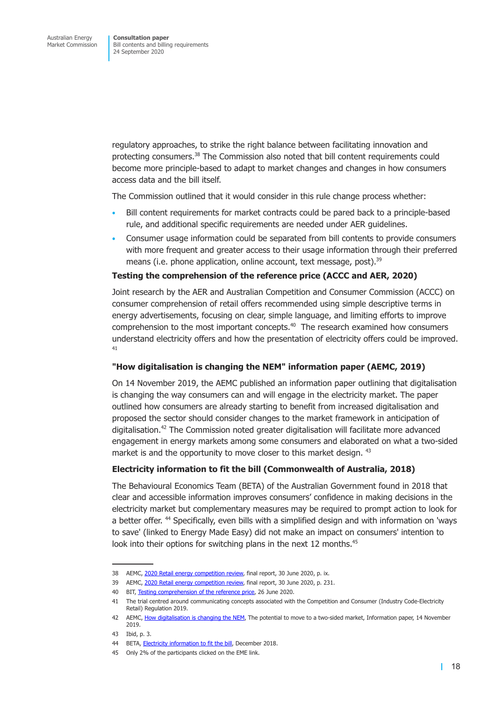regulatory approaches, to strike the right balance between facilitating innovation and protecting consumers.38 The Commission also noted that bill content requirements could become more principle-based to adapt to market changes and changes in how consumers access data and the bill itself.

The Commission outlined that it would consider in this rule change process whether:

- Bill content requirements for market contracts could be pared back to a principle-based rule, and additional specific requirements are needed under AER guidelines.
- Consumer usage information could be separated from bill contents to provide consumers with more frequent and greater access to their usage information through their preferred means (i.e. phone application, online account, text message, post).<sup>39</sup>

### **Testing the comprehension of the reference price (ACCC and AER, 2020)**

Joint research by the AER and Australian Competition and Consumer Commission (ACCC) on consumer comprehension of retail offers recommended using simple descriptive terms in energy advertisements, focusing on clear, simple language, and limiting efforts to improve comprehension to the most important concepts.<sup>40</sup> The research examined how consumers understand electricity offers and how the presentation of electricity offers could be improved. 41

### **"How digitalisation is changing the NEM" information paper (AEMC, 2019)**

On 14 November 2019, the AEMC published an information paper outlining that digitalisation is changing the way consumers can and will engage in the electricity market. The paper outlined how consumers are already starting to benefit from increased digitalisation and proposed the sector should consider changes to the market framework in anticipation of digitalisation.42 The Commission noted greater digitalisation will facilitate more advanced engagement in energy markets among some consumers and elaborated on what a two-sided market is and the opportunity to move closer to this market design. 43

## **Electricity information to fit the bill (Commonwealth of Australia, 2018)**

The Behavioural Economics Team (BETA) of the Australian Government found in 2018 that clear and accessible information improves consumers' confidence in making decisions in the electricity market but complementary measures may be required to prompt action to look for a better offer. 44 Specifically, even bills with a simplified design and with information on 'ways to save' (linked to Energy Made Easy) did not make an impact on consumers' intention to look into their options for switching plans in the next 12 months.<sup>45</sup>

<sup>38</sup> AEMC, [2020 Retail energy competition review,](https://www.aemc.gov.au/sites/default/files/documents/2020_retail_energy_competition_review_-_final_report.pdf) final report, 30 June 2020, p. ix.

<sup>39</sup> AEMC, [2020 Retail energy competition review,](https://www.aemc.gov.au/sites/default/files/documents/2020_retail_energy_competition_review_-_final_report.pdf) final report, 30 June 2020, p. 231.

<sup>40</sup> BIT, [Testing comprehension of the reference price,](https://www.aer.gov.au/system/files/Testing%20Comprehension%20of%20the%20Reference%20Price.pdf) 26 June 2020.

<sup>41</sup> The trial centred around communicating concepts associated with the Competition and Consumer (Industry Code-Electricity Retail) Regulation 2019.

<sup>42</sup> AEMC, [How digitalisation is changing the NEM,](https://www.aemc.gov.au/sites/default/files/2019-11/How%20digitalisation%20is%20changing%20the%20NEM.pdf) The potential to move to a two-sided market, Information paper, 14 November 2019.

<sup>43</sup> Ibid, p. 3.

<sup>44</sup> BETA, [Electricity information to fit the bill,](https://behaviouraleconomics.pmc.gov.au/sites/default/files/projects/Fit-the-bill-report_0.pdf) December 2018.

<sup>45</sup> Only 2% of the participants clicked on the EME link.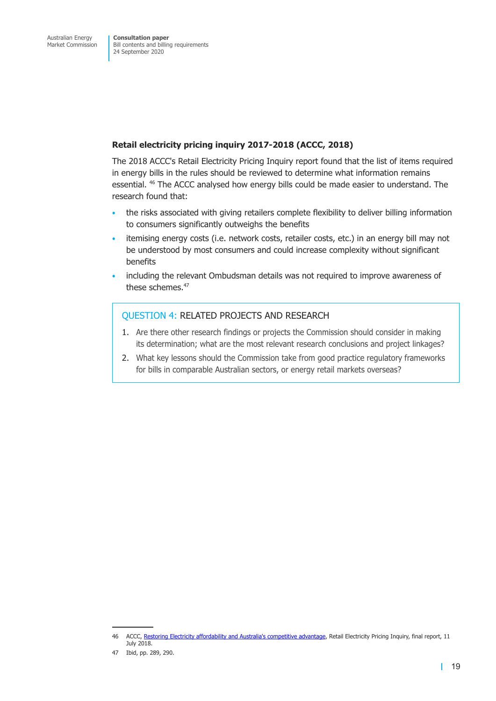## **Retail electricity pricing inquiry 2017-2018 (ACCC, 2018)**

The 2018 ACCC's Retail Electricity Pricing Inquiry report found that the list of items required in energy bills in the rules should be reviewed to determine what information remains essential. 46 The ACCC analysed how energy bills could be made easier to understand. The research found that:

- the risks associated with giving retailers complete flexibility to deliver billing information to consumers significantly outweighs the benefits
- itemising energy costs (i.e. network costs, retailer costs, etc.) in an energy bill may not be understood by most consumers and could increase complexity without significant benefits
- including the relevant Ombudsman details was not required to improve awareness of these schemes.<sup>47</sup>

## QUESTION 4: RELATED PROJECTS AND RESEARCH

- 1. Are there other research findings or projects the Commission should consider in making its determination; what are the most relevant research conclusions and project linkages?
- 2. What key lessons should the Commission take from good practice regulatory frameworks for bills in comparable Australian sectors, or energy retail markets overseas?

<sup>46</sup> ACCC, [Restoring Electricity affordability and Australia's competitive advantage,](https://www.accc.gov.au/publications/restoring-electricity-affordability-australias-competitive-advantage) Retail Electricity Pricing Inquiry, final report, 11 July 2018.

<sup>47</sup> Ibid, pp. 289, 290.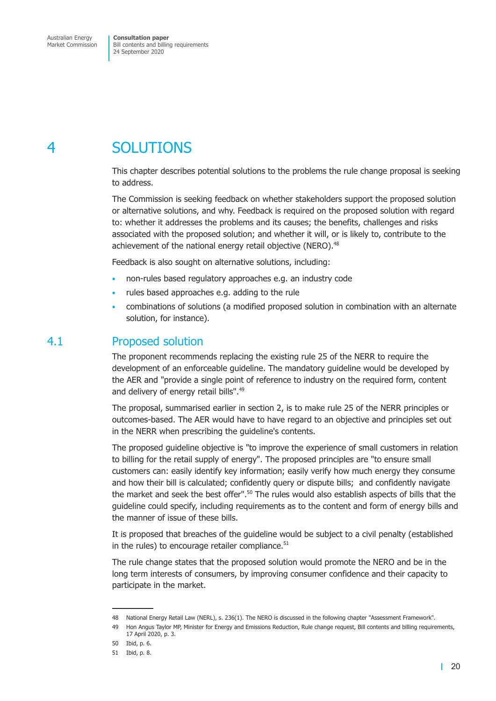# <span id="page-22-0"></span>4 SOLUTIONS

This chapter describes potential solutions to the problems the rule change proposal is seeking to address.

The Commission is seeking feedback on whether stakeholders support the proposed solution or alternative solutions, and why. Feedback is required on the proposed solution with regard to: whether it addresses the problems and its causes; the benefits, challenges and risks associated with the proposed solution; and whether it will, or is likely to, contribute to the achievement of the national energy retail objective (NERO).<sup>48</sup>

Feedback is also sought on alternative solutions, including:

- non-rules based regulatory approaches e.g. an industry code
- rules based approaches e.g. adding to the rule
- combinations of solutions (a modified proposed solution in combination with an alternate solution, for instance).

# 4.1 Proposed solution

The proponent recommends replacing the existing rule 25 of the NERR to require the development of an enforceable guideline. The mandatory guideline would be developed by the AER and "provide a single point of reference to industry on the required form, content and delivery of energy retail bills".<sup>49</sup>

The proposal, summarised earlier in section 2, is to make rule 25 of the NERR principles or outcomes-based. The AER would have to have regard to an objective and principles set out in the NERR when prescribing the guideline's contents.

The proposed guideline objective is "to improve the experience of small customers in relation to billing for the retail supply of energy". The proposed principles are "to ensure small customers can: easily identify key information; easily verify how much energy they consume and how their bill is calculated; confidently query or dispute bills; and confidently navigate the market and seek the best offer".<sup>50</sup> The rules would also establish aspects of bills that the guideline could specify, including requirements as to the content and form of energy bills and the manner of issue of these bills.

It is proposed that breaches of the guideline would be subject to a civil penalty (established in the rules) to encourage retailer compliance. $51$ 

The rule change states that the proposed solution would promote the NERO and be in the long term interests of consumers, by improving consumer confidence and their capacity to participate in the market.

<sup>48</sup> National Energy Retail Law (NERL), s. 236(1). The NERO is discussed in the following chapter "Assessment Framework".

<sup>49</sup> Hon Angus Taylor MP, Minister for Energy and Emissions Reduction, Rule change request, Bill contents and billing requirements, 17 April 2020, p. 3.

<sup>50</sup> Ibid, p. 6.

<sup>51</sup> Ibid, p. 8.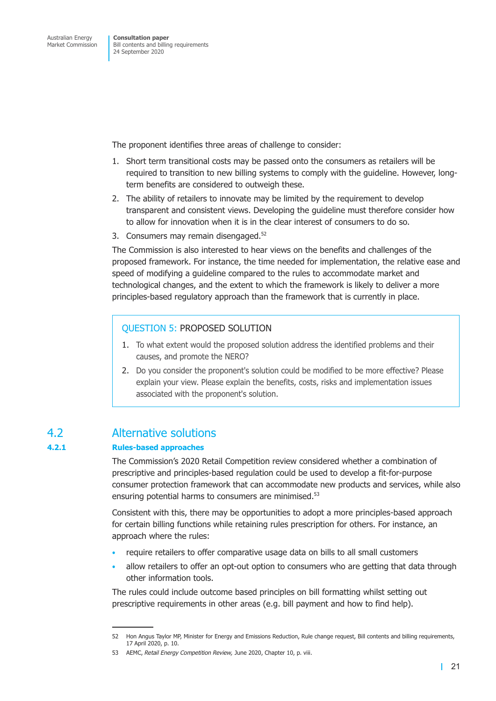<span id="page-23-0"></span>The proponent identifies three areas of challenge to consider:

- 1. Short term transitional costs may be passed onto the consumers as retailers will be required to transition to new billing systems to comply with the guideline. However, longterm benefits are considered to outweigh these.
- 2. The ability of retailers to innovate may be limited by the requirement to develop transparent and consistent views. Developing the guideline must therefore consider how to allow for innovation when it is in the clear interest of consumers to do so.
- 3. Consumers may remain disengaged.<sup>52</sup>

The Commission is also interested to hear views on the benefits and challenges of the proposed framework. For instance, the time needed for implementation, the relative ease and speed of modifying a guideline compared to the rules to accommodate market and technological changes, and the extent to which the framework is likely to deliver a more principles-based regulatory approach than the framework that is currently in place.

## QUESTION 5: PROPOSED SOLUTION

- 1. To what extent would the proposed solution address the identified problems and their causes, and promote the NERO?
- 2. Do you consider the proponent's solution could be modified to be more effective? Please explain your view. Please explain the benefits, costs, risks and implementation issues associated with the proponent's solution.

# 4.2 Alternative solutions

### **4.2.1 Rules-based approaches**

The Commission's 2020 Retail Competition review considered whether a combination of prescriptive and principles-based regulation could be used to develop a fit-for-purpose consumer protection framework that can accommodate new products and services, while also ensuring potential harms to consumers are minimised.<sup>53</sup>

Consistent with this, there may be opportunities to adopt a more principles-based approach for certain billing functions while retaining rules prescription for others. For instance, an approach where the rules:

- require retailers to offer comparative usage data on bills to all small customers
- allow retailers to offer an opt-out option to consumers who are getting that data through other information tools.

The rules could include outcome based principles on bill formatting whilst setting out prescriptive requirements in other areas (e.g. bill payment and how to find help).

<sup>52</sup> Hon Angus Taylor MP, Minister for Energy and Emissions Reduction, Rule change request, Bill contents and billing requirements, 17 April 2020, p. 10.

<sup>53</sup> AEMC, *Retail Energy Competition Review,* June 2020, Chapter 10, p. viii.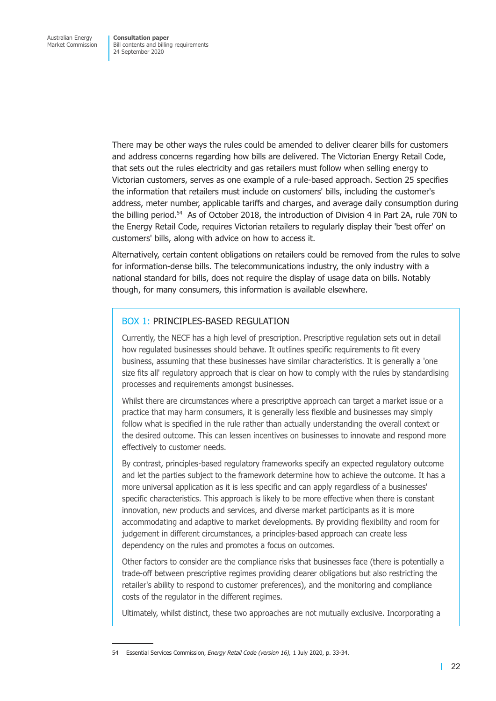There may be other ways the rules could be amended to deliver clearer bills for customers and address concerns regarding how bills are delivered. The Victorian Energy Retail Code, that sets out the rules electricity and gas retailers must follow when selling energy to Victorian customers, serves as one example of a rule-based approach. Section 25 specifies the information that retailers must include on customers' bills, including the customer's address, meter number, applicable tariffs and charges, and average daily consumption during the billing period.<sup>54</sup> As of October 2018, the introduction of Division 4 in Part 2A, rule 70N to the Energy Retail Code, requires Victorian retailers to regularly display their 'best offer' on customers' bills, along with advice on how to access it.

Alternatively, certain content obligations on retailers could be removed from the rules to solve for information-dense bills. The telecommunications industry, the only industry with a national standard for bills, does not require the display of usage data on bills. Notably though, for many consumers, this information is available elsewhere.

## BOX 1: PRINCIPLES-BASED REGULATION

Currently, the NECF has a high level of prescription. Prescriptive regulation sets out in detail how regulated businesses should behave. It outlines specific requirements to fit every business, assuming that these businesses have similar characteristics. It is generally a 'one size fits all' regulatory approach that is clear on how to comply with the rules by standardising processes and requirements amongst businesses.

Whilst there are circumstances where a prescriptive approach can target a market issue or a practice that may harm consumers, it is generally less flexible and businesses may simply follow what is specified in the rule rather than actually understanding the overall context or the desired outcome. This can lessen incentives on businesses to innovate and respond more effectively to customer needs.

By contrast, principles-based regulatory frameworks specify an expected regulatory outcome and let the parties subject to the framework determine how to achieve the outcome. It has a more universal application as it is less specific and can apply regardless of a businesses' specific characteristics. This approach is likely to be more effective when there is constant innovation, new products and services, and diverse market participants as it is more accommodating and adaptive to market developments. By providing flexibility and room for judgement in different circumstances, a principles-based approach can create less dependency on the rules and promotes a focus on outcomes.

Other factors to consider are the compliance risks that businesses face (there is potentially a trade-off between prescriptive regimes providing clearer obligations but also restricting the retailer's ability to respond to customer preferences), and the monitoring and compliance costs of the regulator in the different regimes.

Ultimately, whilst distinct, these two approaches are not mutually exclusive. Incorporating a

<sup>54</sup> Essential Services Commission, *Energy Retail Code (version 16),* 1 July 2020, p. 33-34.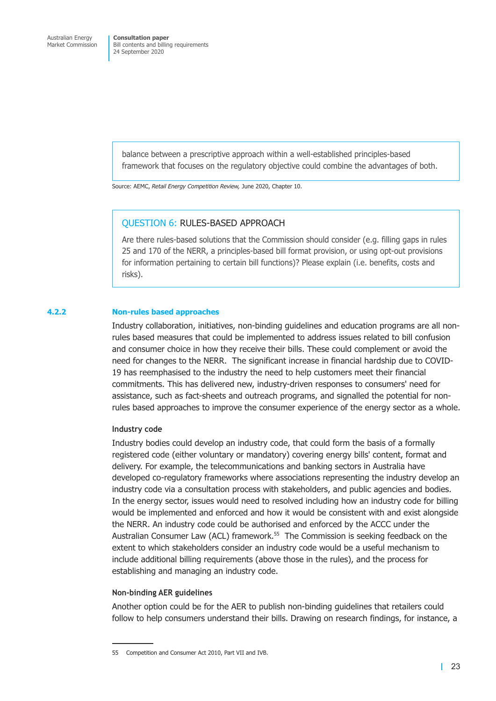balance between a prescriptive approach within a well-established principles-based framework that focuses on the regulatory objective could combine the advantages of both.

Source: AEMC, *Retail Energy Competition Review,* June 2020, Chapter 10.

### QUESTION 6: RULES-BASED APPROACH

Are there rules-based solutions that the Commission should consider (e.g. filling gaps in rules 25 and 170 of the NERR, a principles-based bill format provision, or using opt-out provisions for information pertaining to certain bill functions)? Please explain (i.e. benefits, costs and risks).

#### **4.2.2 Non-rules based approaches**

Industry collaboration, initiatives, non-binding guidelines and education programs are all nonrules based measures that could be implemented to address issues related to bill confusion and consumer choice in how they receive their bills. These could complement or avoid the need for changes to the NERR. The significant increase in financial hardship due to COVID-19 has reemphasised to the industry the need to help customers meet their financial commitments. This has delivered new, industry-driven responses to consumers' need for assistance, such as fact-sheets and outreach programs, and signalled the potential for nonrules based approaches to improve the consumer experience of the energy sector as a whole.

#### **Industry code**

Industry bodies could develop an industry code, that could form the basis of a formally registered code (either voluntary or mandatory) covering energy bills' content, format and delivery. For example, the telecommunications and banking sectors in Australia have developed co-regulatory frameworks where associations representing the industry develop an industry code via a consultation process with stakeholders, and public agencies and bodies. In the energy sector, issues would need to resolved including how an industry code for billing would be implemented and enforced and how it would be consistent with and exist alongside the NERR. An industry code could be authorised and enforced by the ACCC under the Australian Consumer Law (ACL) framework.<sup>55</sup> The Commission is seeking feedback on the extent to which stakeholders consider an industry code would be a useful mechanism to include additional billing requirements (above those in the rules), and the process for establishing and managing an industry code.

#### **Non-binding AER guidelines**

Another option could be for the AER to publish non-binding guidelines that retailers could follow to help consumers understand their bills. Drawing on research findings, for instance, a

<sup>55</sup> Competition and Consumer Act 2010, Part VII and IVB.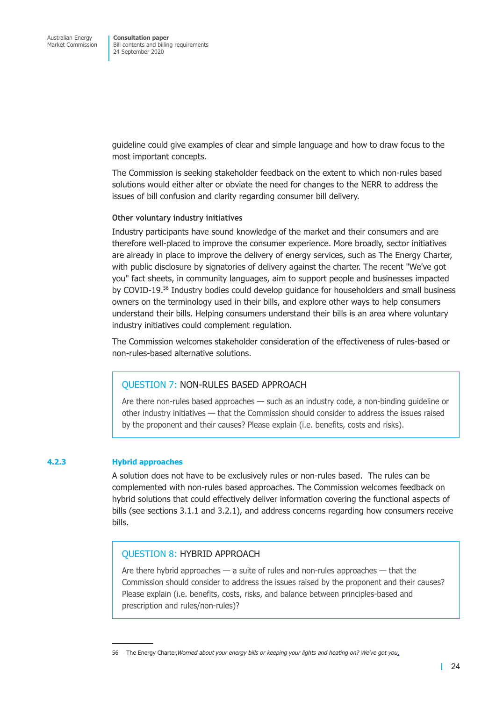guideline could give examples of clear and simple language and how to draw focus to the most important concepts.

The Commission is seeking stakeholder feedback on the extent to which non-rules based solutions would either alter or obviate the need for changes to the NERR to address the issues of bill confusion and clarity regarding consumer bill delivery.

#### **Other voluntary industry initiatives**

Industry participants have sound knowledge of the market and their consumers and are therefore well-placed to improve the consumer experience. More broadly, sector initiatives are already in place to improve the delivery of energy services, such as The Energy Charter, with public disclosure by signatories of delivery against the charter. The recent "We've got you" fact sheets, in community languages, aim to support people and businesses impacted by COVID-19.56 Industry bodies could develop guidance for householders and small business owners on the terminology used in their bills, and explore other ways to help consumers understand their bills. Helping consumers understand their bills is an area where voluntary industry initiatives could complement regulation.

The Commission welcomes stakeholder consideration of the effectiveness of rules-based or non-rules-based alternative solutions.

### QUESTION 7: NON-RULES BASED APPROACH

Are there non-rules based approaches — such as an industry code, a non-binding guideline or other industry initiatives — that the Commission should consider to address the issues raised by the proponent and their causes? Please explain (i.e. benefits, costs and risks).

### **4.2.3 Hybrid approaches**

A solution does not have to be exclusively rules or non-rules based. The rules can be complemented with non-rules based approaches. The Commission welcomes feedback on hybrid solutions that could effectively deliver information covering the functional aspects of bills (see sections 3.1.1 and 3.2.1), and address concerns regarding how consumers receive bills.

## QUESTION 8: HYBRID APPROACH

Are there hybrid approaches — a suite of rules and non-rules approaches — that the Commission should consider to address the issues raised by the proponent and their causes? Please explain (i.e. benefits, costs, risks, and balance between principles-based and prescription and rules/non-rules)?

<sup>56</sup> The Energy Charter,*Worried about your energy bills or keeping your lights and heating on? We've got you*[.](https://www.theenergycharter.com.au/wevegotyou/)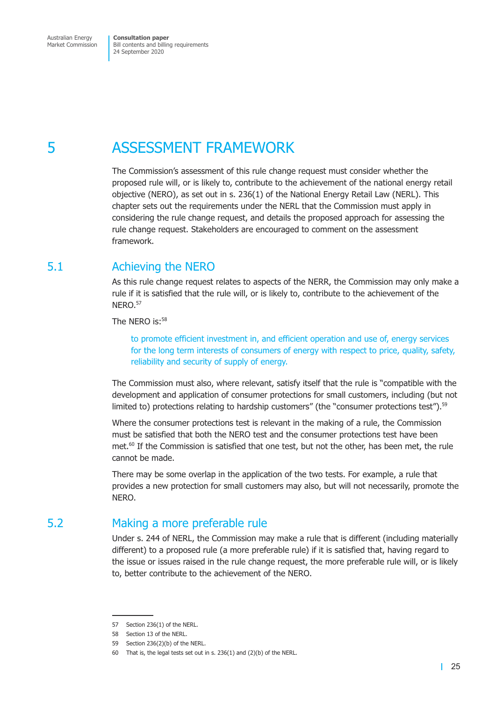# <span id="page-27-0"></span>5 ASSESSMENT FRAMEWORK

The Commission's assessment of this rule change request must consider whether the proposed rule will, or is likely to, contribute to the achievement of the national energy retail objective (NERO), as set out in s. 236(1) of the National Energy Retail Law (NERL). This chapter sets out the requirements under the NERL that the Commission must apply in considering the rule change request, and details the proposed approach for assessing the rule change request. Stakeholders are encouraged to comment on the assessment framework.

# 5.1 Achieving the NERO

As this rule change request relates to aspects of the NERR, the Commission may only make a rule if it is satisfied that the rule will, or is likely to, contribute to the achievement of the NERO.<sup>57</sup>

The NERO is:<sup>58</sup>

to promote efficient investment in, and efficient operation and use of, energy services for the long term interests of consumers of energy with respect to price, quality, safety, reliability and security of supply of energy.

The Commission must also, where relevant, satisfy itself that the rule is "compatible with the development and application of consumer protections for small customers, including (but not limited to) protections relating to hardship customers" (the "consumer protections test").<sup>59</sup>

Where the consumer protections test is relevant in the making of a rule, the Commission must be satisfied that both the NERO test and the consumer protections test have been met.<sup>60</sup> If the Commission is satisfied that one test, but not the other, has been met, the rule cannot be made.

There may be some overlap in the application of the two tests. For example, a rule that provides a new protection for small customers may also, but will not necessarily, promote the NERO.

# 5.2 Making a more preferable rule

Under s. 244 of NERL, the Commission may make a rule that is different (including materially different) to a proposed rule (a more preferable rule) if it is satisfied that, having regard to the issue or issues raised in the rule change request, the more preferable rule will, or is likely to, better contribute to the achievement of the NERO.

<sup>57</sup> Section 236(1) of the NERL.

<sup>58</sup> Section 13 of the NERL.

<sup>59</sup> Section 236(2)(b) of the NERL.

<sup>60</sup> That is, the legal tests set out in s. 236(1) and (2)(b) of the NERL.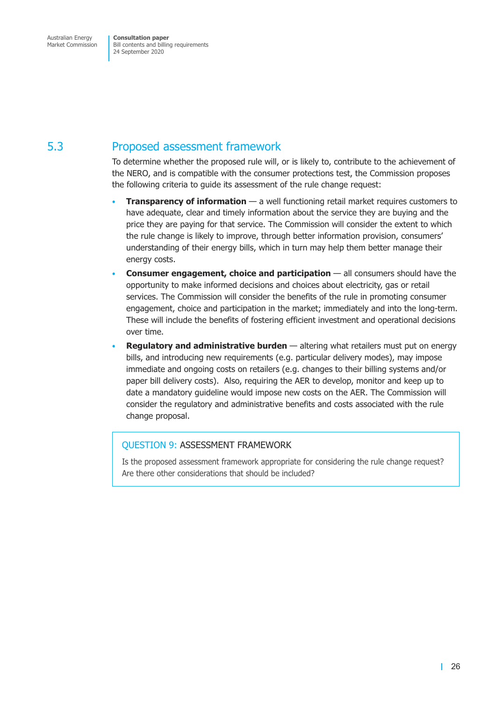# <span id="page-28-0"></span>5.3 Proposed assessment framework

To determine whether the proposed rule will, or is likely to, contribute to the achievement of the NERO, and is compatible with the consumer protections test, the Commission proposes the following criteria to guide its assessment of the rule change request:

- **Transparency of information** a well functioning retail market requires customers to have adequate, clear and timely information about the service they are buying and the price they are paying for that service. The Commission will consider the extent to which the rule change is likely to improve, through better information provision, consumers' understanding of their energy bills, which in turn may help them better manage their energy costs.
- **Consumer engagement, choice and participation** all consumers should have the opportunity to make informed decisions and choices about electricity, gas or retail services. The Commission will consider the benefits of the rule in promoting consumer engagement, choice and participation in the market; immediately and into the long-term. These will include the benefits of fostering efficient investment and operational decisions over time.
- **Regulatory and administrative burden**  altering what retailers must put on energy bills, and introducing new requirements (e.g. particular delivery modes), may impose immediate and ongoing costs on retailers (e.g. changes to their billing systems and/or paper bill delivery costs). Also, requiring the AER to develop, monitor and keep up to date a mandatory guideline would impose new costs on the AER. The Commission will consider the regulatory and administrative benefits and costs associated with the rule change proposal.

# QUESTION 9: ASSESSMENT FRAMEWORK

Is the proposed assessment framework appropriate for considering the rule change request? Are there other considerations that should be included?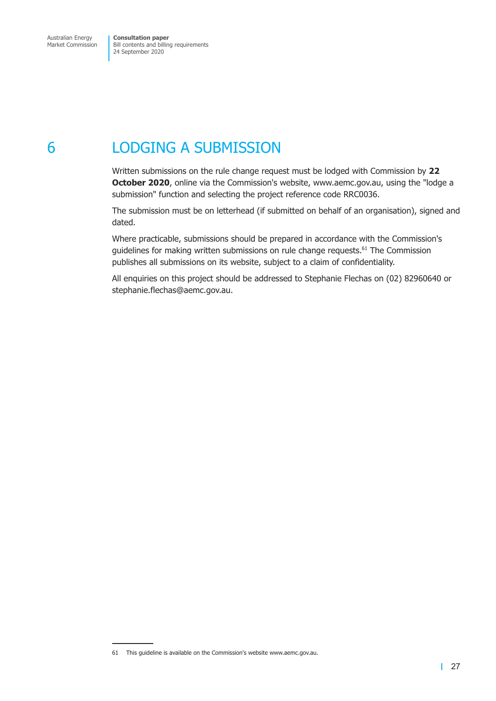# <span id="page-29-0"></span>6 LODGING A SUBMISSION

Written submissions on the rule change request must be lodged with Commission by **22 October 2020**, online via the Commission's website, www.aemc.gov.au, using the "lodge a submission" function and selecting the project reference code RRC0036.

The submission must be on letterhead (if submitted on behalf of an organisation), signed and dated.

Where practicable, submissions should be prepared in accordance with the Commission's guidelines for making written submissions on rule change requests.<sup>61</sup> The Commission publishes all submissions on its website, subject to a claim of confidentiality.

All enquiries on this project should be addressed to Stephanie Flechas on (02) 82960640 or stephanie.flechas@aemc.gov.au.

<sup>61</sup> This guideline is available on the Commission's website www.aemc.gov.au.